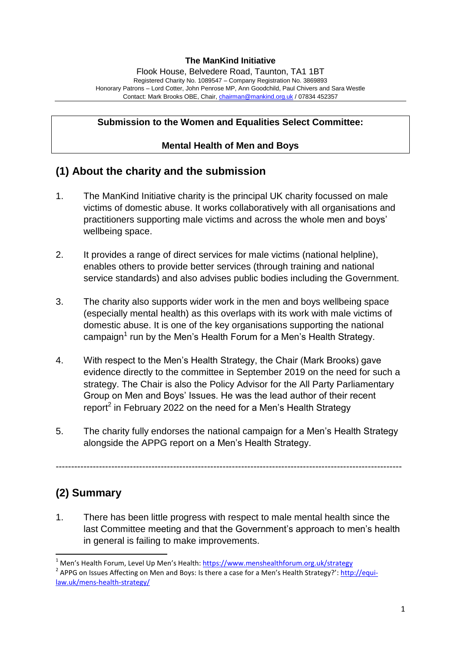### **The ManKind Initiative**

Flook House, Belvedere Road, Taunton, TA1 1BT Registered Charity No. 1089547 – Company Registration No. 3869893 Honorary Patrons – Lord Cotter, John Penrose MP, Ann Goodchild, Paul Chivers and Sara Westle Contact: Mark Brooks OBE, Chair, [chairman@mankind.org.uk](mailto:chairman@mankind.org.uk) / 07834 452357

### **Submission to the Women and Equalities Select Committee:**

### **Mental Health of Men and Boys**

## **(1) About the charity and the submission**

- 1. The ManKind Initiative charity is the principal UK charity focussed on male victims of domestic abuse. It works collaboratively with all organisations and practitioners supporting male victims and across the whole men and boys' wellbeing space.
- 2. It provides a range of direct services for male victims (national helpline), enables others to provide better services (through training and national service standards) and also advises public bodies including the Government.
- 3. The charity also supports wider work in the men and boys wellbeing space (especially mental health) as this overlaps with its work with male victims of domestic abuse. It is one of the key organisations supporting the national campaign<sup>1</sup> run by the Men's Health Forum for a Men's Health Strategy.
- 4. With respect to the Men's Health Strategy, the Chair (Mark Brooks) gave evidence directly to the committee in September 2019 on the need for such a strategy. The Chair is also the Policy Advisor for the All Party Parliamentary Group on Men and Boys' Issues. He was the lead author of their recent report<sup>2</sup> in February 2022 on the need for a Men's Health Strategy
- 5. The charity fully endorses the national campaign for a Men's Health Strategy alongside the APPG report on a Men's Health Strategy.

----------------------------------------------------------------------------------------------------------------

# **(2) Summary**

**.** 

1. There has been little progress with respect to male mental health since the last Committee meeting and that the Government's approach to men's health in general is failing to make improvements.

<sup>&</sup>lt;sup>1</sup> Men's Health Forum, Level Up Men's Health:<https://www.menshealthforum.org.uk/strategy>

<sup>&</sup>lt;sup>2</sup> APPG on Issues Affecting on Men and Boys: Is there a case for a Men's Health Strategy?': [http://equi](http://equi-law.uk/mens-health-strategy/)[law.uk/mens-health-strategy/](http://equi-law.uk/mens-health-strategy/)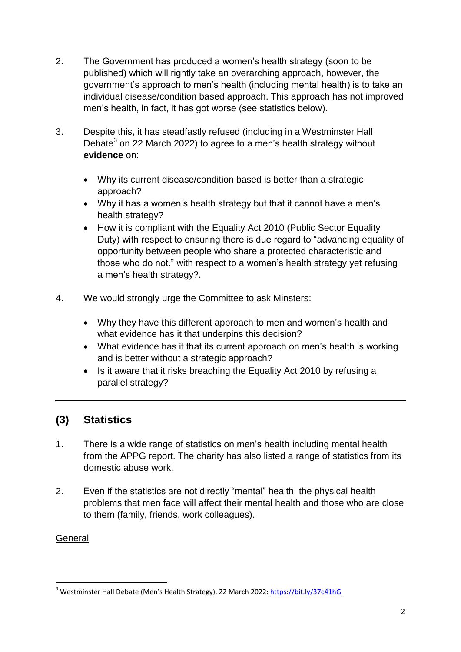- 2. The Government has produced a women's health strategy (soon to be published) which will rightly take an overarching approach, however, the government's approach to men's health (including mental health) is to take an individual disease/condition based approach. This approach has not improved men's health, in fact, it has got worse (see statistics below).
- 3. Despite this, it has steadfastly refused (including in a Westminster Hall Debate $3$  on 22 March 2022) to agree to a men's health strategy without **evidence** on:
	- Why its current disease/condition based is better than a strategic approach?
	- Why it has a women's health strategy but that it cannot have a men's health strategy?
	- How it is compliant with the Equality Act 2010 (Public Sector Equality Duty) with respect to ensuring there is due regard to "advancing equality of opportunity between people who share a protected characteristic and those who do not." with respect to a women's health strategy yet refusing a men's health strategy?.
- 4. We would strongly urge the Committee to ask Minsters:
	- Why they have this different approach to men and women's health and what evidence has it that underpins this decision?
	- What evidence has it that its current approach on men's health is working and is better without a strategic approach?
	- Is it aware that it risks breaching the Equality Act 2010 by refusing a parallel strategy?

## **(3) Statistics**

- 1. There is a wide range of statistics on men's health including mental health from the APPG report. The charity has also listed a range of statistics from its domestic abuse work.
- 2. Even if the statistics are not directly "mental" health, the physical health problems that men face will affect their mental health and those who are close to them (family, friends, work colleagues).

## **General**

**<sup>.</sup>** <sup>3</sup> Westminster Hall Debate (Men's Health Strategy), 22 March 2022:<https://bit.ly/37c41hG>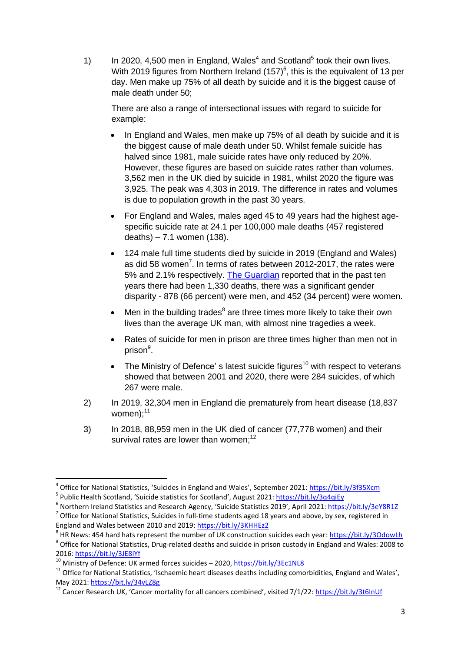1) In 2020, 4,500 men in England, Wales<sup>4</sup> and Scotland<sup>5</sup> took their own lives. With 2019 figures from Northern Ireland  $(157)^6$ , this is the equivalent of 13 per day. Men make up 75% of all death by suicide and it is the biggest cause of male death under 50;

There are also a range of intersectional issues with regard to suicide for example:

- In England and Wales, men make up 75% of all death by suicide and it is the biggest cause of male death under 50. Whilst female suicide has halved since 1981, male suicide rates have only reduced by 20%. However, these figures are based on suicide rates rather than volumes. 3,562 men in the UK died by suicide in 1981, whilst 2020 the figure was 3,925. The peak was 4,303 in 2019. The difference in rates and volumes is due to population growth in the past 30 years.
- For England and Wales, males aged 45 to 49 years had the highest agespecific suicide rate at 24.1 per 100,000 male deaths (457 registered deaths) – 7.1 women (138).
- 124 male full time students died by suicide in 2019 (England and Wales) as did 58 women<sup>7</sup>. In terms of rates between 2012-2017, the rates were 5% and 2.1% respectively. [The Guardian](https://www.topuniversities.com/student-info/health-support/one-uk-student-dies-suicide-every-four-days-majority-are-male-why) reported that in the past ten years there had been 1,330 deaths, there was a significant gender disparity - 878 (66 percent) were men, and 452 (34 percent) were women.
- $\bullet$  Men in the building trades<sup>8</sup> are three times more likely to take their own lives than the average UK man, with almost nine tragedies a week.
- Rates of suicide for men in prison are three times higher than men not in prison<sup>9</sup>.
- The Ministry of Defence's latest suicide figures<sup>10</sup> with respect to veterans showed that between 2001 and 2020, there were 284 suicides, of which 267 were male.
- 2) In 2019, 32,304 men in England die prematurely from heart disease (18,837 women $)$ : $^{11}$
- 3) In 2018, 88,959 men in the UK died of cancer (77,778 women) and their survival rates are lower than women: $12$

 $\overline{\phantom{a}}$ <sup>4</sup> Office for National Statistics, 'Suicides in England and Wales', September 2021: <https://bit.ly/3f35Xcm>

<sup>&</sup>lt;sup>5</sup> Public Health Scotland, 'Suicide statistics for Scotland', August 2021: <https://bit.ly/3q4qiEy>

<sup>&</sup>lt;sup>6</sup> Northern Ireland Statistics and Research Agency, 'Suicide Statistics 2019', April 2021: <https://bit.ly/3eY8R1Z>

 $^7$  Office for National Statistics, Suicides in full-time students aged 18 years and above, by sex, registered in England and Wales between 2010 and 2019:<https://bit.ly/3KHHEz2>

<sup>&</sup>lt;sup>8</sup> HR News: 454 hard hats represent the number of UK construction suicides each year[: https://bit.ly/3OdowLh](https://bit.ly/3OdowLh) <sup>9</sup> Office for National Statistics, Drug-related deaths and suicide in prison custody in England and Wales: 2008 to 2016:<https://bit.ly/3JE8iYf>

<sup>&</sup>lt;sup>10</sup> Ministry of Defence: UK armed forces suicides – 2020,<https://bit.ly/3Ec1NL8>

 $11$  Office for National Statistics, 'Ischaemic heart diseases deaths including comorbidities, England and Wales', May 2021[: https://bit.ly/34vLZ8g](https://bit.ly/34vLZ8g)

<sup>&</sup>lt;sup>12</sup> Cancer Research UK. 'Cancer mortality for all cancers combined', visited 7/1/22: <https://bit.ly/3t6InUf>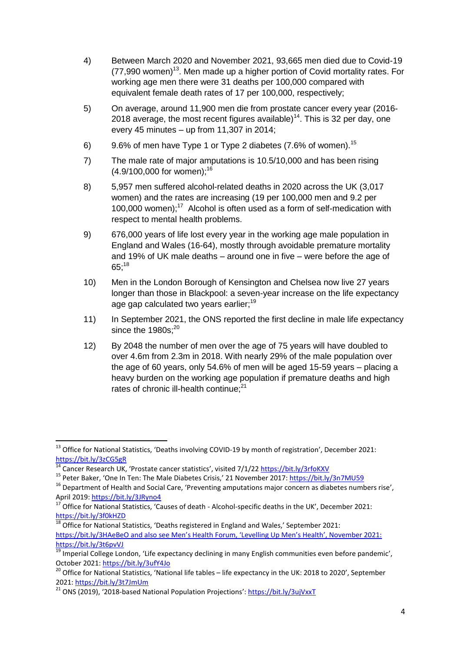- 4) Between March 2020 and November 2021, 93,665 men died due to Covid-19  $(77,990$  women)<sup>13</sup>. Men made up a higher portion of Covid mortality rates. For working age men there were 31 deaths per 100,000 compared with equivalent female death rates of 17 per 100,000, respectively;
- 5) On average, around 11,900 men die from prostate cancer every year (2016- 2018 average, the most recent figures available)<sup>14</sup>. This is 32 per day, one every 45 minutes – up from 11,307 in 2014;
- 6) 9.6% of men have Type 1 or Type 2 diabetes  $(7.6\%$  of women).<sup>15</sup>
- 7) The male rate of major amputations is 10.5/10,000 and has been rising  $(4.9/100,000$  for women);<sup>16</sup>
- 8) 5,957 men suffered alcohol-related deaths in 2020 across the UK (3,017 women) and the rates are increasing (19 per 100,000 men and 9.2 per 100,000 women); $17$  Alcohol is often used as a form of self-medication with respect to mental health problems.
- 9) 676,000 years of life lost every year in the working age male population in England and Wales (16-64), mostly through avoidable premature mortality and 19% of UK male deaths – around one in five – were before the age of  $65:^{18}$
- 10) Men in the London Borough of Kensington and Chelsea now live 27 years longer than those in Blackpool: a seven-year increase on the life expectancy age gap calculated two years earlier;<sup>19</sup>
- 11) In September 2021, the ONS reported the first decline in male life expectancy since the 1980s:<sup>20</sup>
- 12) By 2048 the number of men over the age of 75 years will have doubled to over 4.6m from 2.3m in 2018. With nearly 29% of the male population over the age of 60 years, only 54.6% of men will be aged 15-59 years – placing a heavy burden on the working age population if premature deaths and high rates of chronic ill-health continue:<sup>21</sup>

<sup>1</sup>  $^{13}$  Office for National Statistics, 'Deaths involving COVID-19 by month of registration', December 2021: <https://bit.ly/3zCG5gR>

 $\frac{14}{14}$  Cancer Research UK, 'Prostate cancer statistics', visited 7/1/22<https://bit.ly/3rfoKXV>

<sup>&</sup>lt;sup>15</sup> Peter Baker, 'One In Ten: The Male Diabetes Crisis,' 21 November 2017:<https://bit.ly/3n7MU59>

 $16$  Department of Health and Social Care, 'Preventing amputations major concern as diabetes numbers rise', April 2019[: https://bit.ly/3JRyno4](https://bit.ly/3JRyno4)

<sup>17</sup> Office for National Statistics, 'Causes of death - Alcohol-specific deaths in the UK', December 2021: <https://bit.ly/3f0kHZD>

 $18$  Office for National Statistics, 'Deaths registered in England and Wales,' September 2021: <https://bit.ly/3HAeBeO> and also see Men's Health Forum, 'Levelling Up Men's Health', November 2021: <https://bit.ly/3t6pvVJ>

 $\frac{19}{19}$  Imperial College London, 'Life expectancy declining in many English communities even before pandemic', October 2021[: https://bit.ly/3ufY4Jo](https://bit.ly/3ufY4Jo)

 $^{20}$  Office for National Statistics, 'National life tables – life expectancy in the UK: 2018 to 2020', September 2021:<https://bit.ly/3t7JmUm>

<sup>21</sup> ONS (2019), '2018-based National Population Projections': <https://bit.ly/3ujVxxT>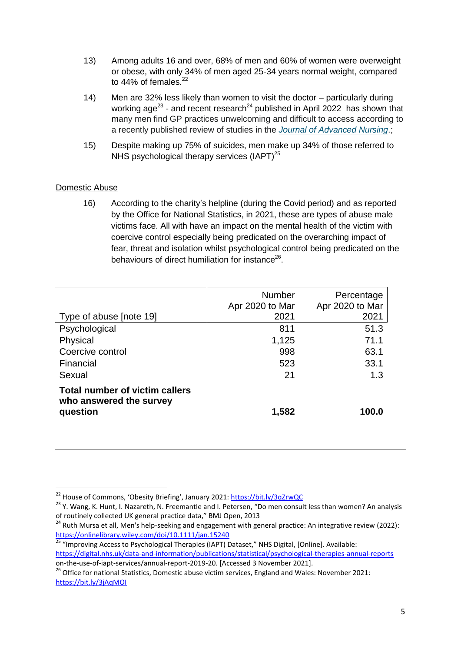- 13) Among adults 16 and over, 68% of men and 60% of women were overweight or obese, with only 34% of men aged 25-34 years normal weight, compared to  $44\%$  of females.<sup>22</sup>
- 14) Men are 32% less likely than women to visit the doctor particularly during working age<sup>23</sup> - and recent research<sup>24</sup> published in April 2022 has shown that many men find GP practices unwelcoming and difficult to access according to a recently published review of studies in the *[Journal of Advanced Nursing](https://doi.org/10.1111/jan.15240)*.;
- 15) Despite making up 75% of suicides, men make up 34% of those referred to NHS psychological therapy services  $(IAPT)^{25}$

### Domestic Abuse

16) According to the charity's helpline (during the Covid period) and as reported by the Office for National Statistics, in 2021, these are types of abuse male victims face. All with have an impact on the mental health of the victim with coercive control especially being predicated on the overarching impact of fear, threat and isolation whilst psychological control being predicated on the behaviours of direct humiliation for instance<sup>26</sup>.

|                                                                  | <b>Number</b><br>Apr 2020 to Mar | Percentage<br>Apr 2020 to Mar |
|------------------------------------------------------------------|----------------------------------|-------------------------------|
| Type of abuse [note 19]                                          | 2021                             | 2021                          |
| Psychological                                                    | 811                              | 51.3                          |
| Physical                                                         | 1,125                            | 71.1                          |
| Coercive control                                                 | 998                              | 63.1                          |
| Financial                                                        | 523                              | 33.1                          |
| Sexual                                                           | 21                               | 1.3                           |
| <b>Total number of victim callers</b><br>who answered the survey |                                  |                               |
| question                                                         | 1,582                            | 100.0                         |

<https://bit.ly/3jAqMOI>

<sup>1</sup> <sup>22</sup> House of Commons, 'Obesity Briefing', January 2021: <https://bit.ly/3qZrwQC>

<sup>&</sup>lt;sup>23</sup> Y. Wang, K. Hunt, I. Nazareth, N. Freemantle and I. Petersen, "Do men consult less than women? An analysis of routinely collected UK general practice data," BMJ Open, 2013

<sup>&</sup>lt;sup>24</sup> Ruth Mursa et all, Men's help-seeking and engagement with general practice: An integrative review (2022): <https://onlinelibrary.wiley.com/doi/10.1111/jan.15240>

<sup>&</sup>lt;sup>25</sup> "Improving Access to Psychological Therapies (IAPT) Dataset," NHS Digital, [Online]. Available: <https://digital.nhs.uk/data-and-information/publications/statistical/psychological-therapies-annual-reports>

on-the-use-of-iapt-services/annual-report-2019-20. [Accessed 3 November 2021]. <sup>26</sup> Office for national Statistics, Domestic abuse victim services, England and Wales: November 2021: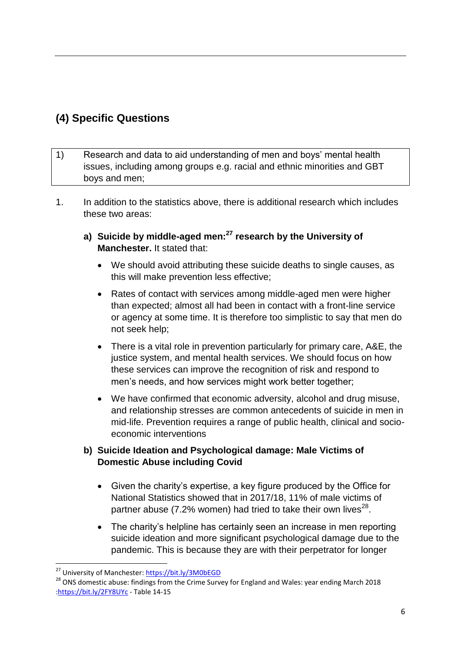# **(4) Specific Questions**

- 1) Research and data to aid understanding of men and boys' mental health issues, including among groups e.g. racial and ethnic minorities and GBT boys and men;
- 1. In addition to the statistics above, there is additional research which includes these two areas:
	- **a) Suicide by middle-aged men:<sup>27</sup> research by the University of Manchester.** It stated that:
		- We should avoid attributing these suicide deaths to single causes, as this will make prevention less effective;
		- Rates of contact with services among middle-aged men were higher than expected; almost all had been in contact with a front-line service or agency at some time. It is therefore too simplistic to say that men do not seek help;
		- There is a vital role in prevention particularly for primary care, A&E, the justice system, and mental health services. We should focus on how these services can improve the recognition of risk and respond to men's needs, and how services might work better together;
		- We have confirmed that economic adversity, alcohol and drug misuse, and relationship stresses are common antecedents of suicide in men in mid-life. Prevention requires a range of public health, clinical and socioeconomic interventions

### **b) Suicide Ideation and Psychological damage: Male Victims of Domestic Abuse including Covid**

- Given the charity's expertise, a key figure produced by the Office for National Statistics showed that in 2017/18, 11% of male victims of partner abuse (7.2% women) had tried to take their own lives<sup>28</sup>.
- The charity's helpline has certainly seen an increase in men reporting suicide ideation and more significant psychological damage due to the pandemic. This is because they are with their perpetrator for longer

**.** 

<sup>&</sup>lt;sup>27</sup> University of Manchester[: https://bit.ly/3M0bEGD](https://bit.ly/3M0bEGD)

<sup>&</sup>lt;sup>28</sup> ONS domestic abuse: findings from the Crime Survey for England and Wales: year ending March 2018 [:https://bit.ly/2FY8UYc](https://bit.ly/2FY8UYc) - Table 14-15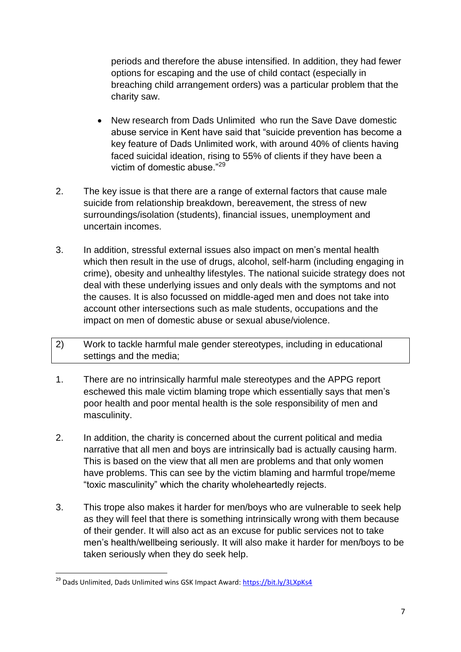periods and therefore the abuse intensified. In addition, they had fewer options for escaping and the use of child contact (especially in breaching child arrangement orders) was a particular problem that the charity saw.

- New research from Dads Unlimited who run the Save Dave domestic abuse service in Kent have said that "suicide prevention has become a key feature of Dads Unlimited work, with around 40% of clients having faced suicidal ideation, rising to 55% of clients if they have been a victim of domestic abuse."<sup>29</sup>
- 2. The key issue is that there are a range of external factors that cause male suicide from relationship breakdown, bereavement, the stress of new surroundings/isolation (students), financial issues, unemployment and uncertain incomes.
- 3. In addition, stressful external issues also impact on men's mental health which then result in the use of drugs, alcohol, self-harm (including engaging in crime), obesity and unhealthy lifestyles. The national suicide strategy does not deal with these underlying issues and only deals with the symptoms and not the causes. It is also focussed on middle-aged men and does not take into account other intersections such as male students, occupations and the impact on men of domestic abuse or sexual abuse/violence.
- 2) Work to tackle harmful male gender stereotypes, including in educational settings and the media;
- 1. There are no intrinsically harmful male stereotypes and the APPG report eschewed this male victim blaming trope which essentially says that men's poor health and poor mental health is the sole responsibility of men and masculinity.
- 2. In addition, the charity is concerned about the current political and media narrative that all men and boys are intrinsically bad is actually causing harm. This is based on the view that all men are problems and that only women have problems. This can see by the victim blaming and harmful trope/meme "toxic masculinity" which the charity wholeheartedly rejects.
- 3. This trope also makes it harder for men/boys who are vulnerable to seek help as they will feel that there is something intrinsically wrong with them because of their gender. It will also act as an excuse for public services not to take men's health/wellbeing seriously. It will also make it harder for men/boys to be taken seriously when they do seek help.

1

<sup>&</sup>lt;sup>29</sup> Dads Unlimited, Dads Unlimited wins GSK Impact Award:<https://bit.ly/3LXpKs4>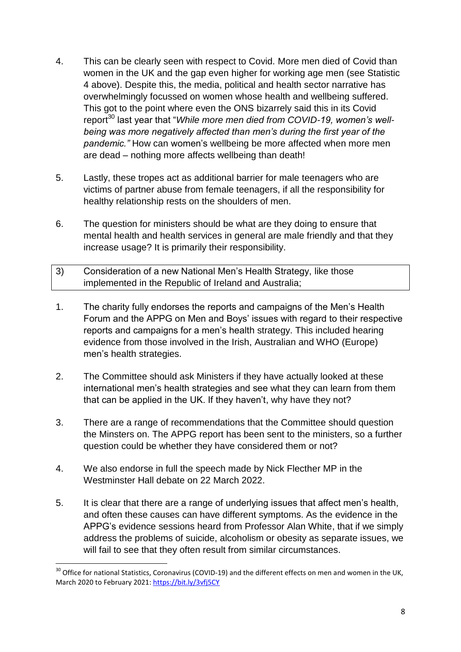- 4. This can be clearly seen with respect to Covid. More men died of Covid than women in the UK and the gap even higher for working age men (see Statistic 4 above). Despite this, the media, political and health sector narrative has overwhelmingly focussed on women whose health and wellbeing suffered. This got to the point where even the ONS bizarrely said this in its Covid report<sup>30</sup> last year that "*While more men died from COVID-19, women's wellbeing was more negatively affected than men's during the first year of the pandemic."* How can women's wellbeing be more affected when more men are dead – nothing more affects wellbeing than death!
- 5. Lastly, these tropes act as additional barrier for male teenagers who are victims of partner abuse from female teenagers, if all the responsibility for healthy relationship rests on the shoulders of men.
- 6. The question for ministers should be what are they doing to ensure that mental health and health services in general are male friendly and that they increase usage? It is primarily their responsibility.
- 3) Consideration of a new National Men's Health Strategy, like those implemented in the Republic of Ireland and Australia;
- 1. The charity fully endorses the reports and campaigns of the Men's Health Forum and the APPG on Men and Boys' issues with regard to their respective reports and campaigns for a men's health strategy. This included hearing evidence from those involved in the Irish, Australian and WHO (Europe) men's health strategies.
- 2. The Committee should ask Ministers if they have actually looked at these international men's health strategies and see what they can learn from them that can be applied in the UK. If they haven't, why have they not?
- 3. There are a range of recommendations that the Committee should question the Minsters on. The APPG report has been sent to the ministers, so a further question could be whether they have considered them or not?
- 4. We also endorse in full the speech made by Nick Flecther MP in the Westminster Hall debate on 22 March 2022.

**.** 

5. It is clear that there are a range of underlying issues that affect men's health, and often these causes can have different symptoms. As the evidence in the APPG's evidence sessions heard from Professor Alan White, that if we simply address the problems of suicide, alcoholism or obesity as separate issues, we will fail to see that they often result from similar circumstances.

 $30$  Office for national Statistics, Coronavirus (COVID-19) and the different effects on men and women in the UK, March 2020 to February 2021:<https://bit.ly/3vfj5CY>